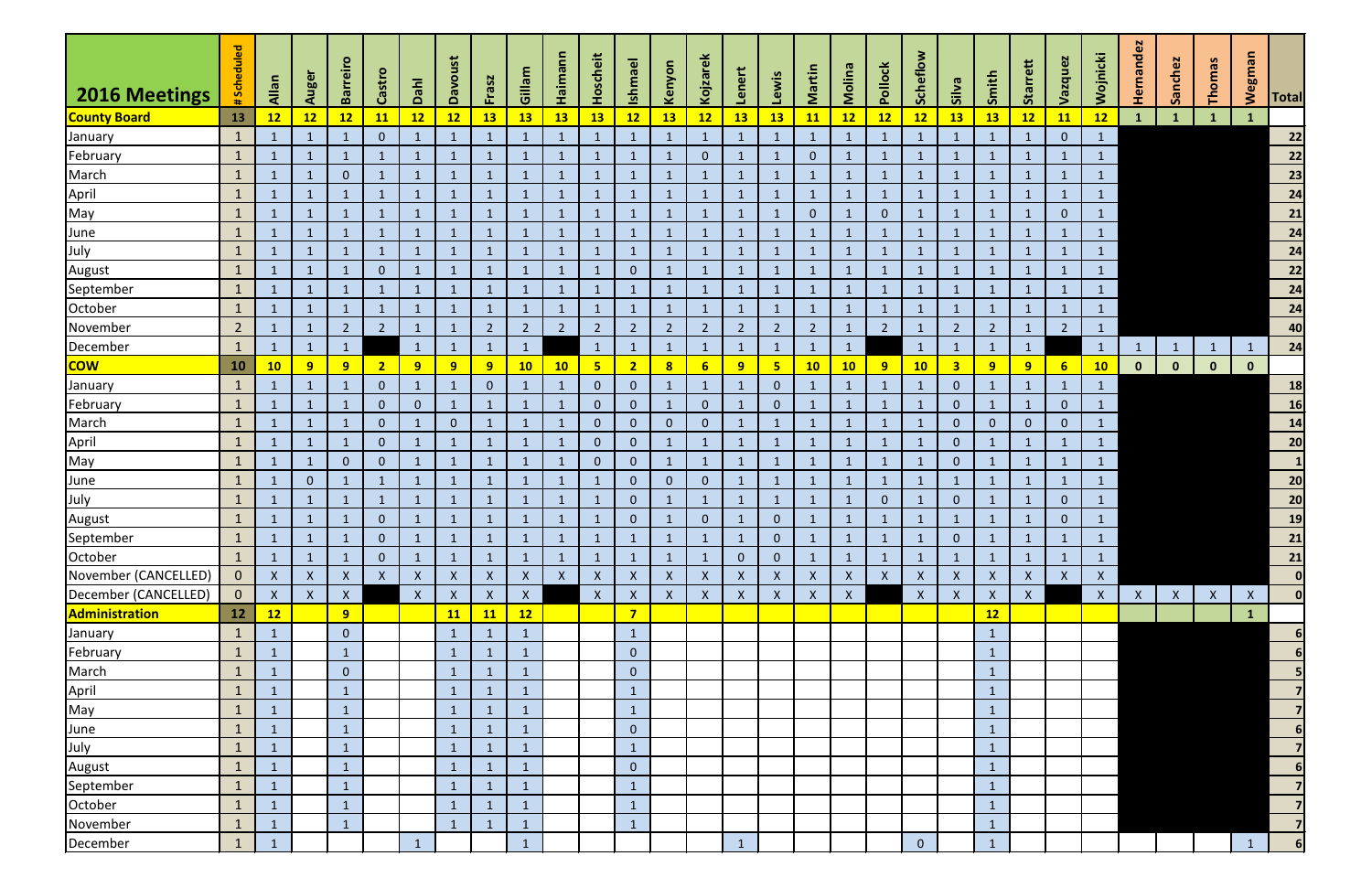| 2016 Meetings        | # Scheduled     | Allan            | Auger              | <b>Barreiro</b> | Castro         | Dahl           | Davoust      | Frasz            | Gillam             | Haimann        | Hoscheit       | <b>Ishmael</b> | Kenyon                    | Kojzarek         | Lenert         | Lewis          | Martin         | Molina       | Pollock        | Scheflow                  | Silva                   | Smith          | Starrett       | Vazquez        | Wojnicki     | Hernandez      | Sanchez      | Thomas       | <b>Wegman</b> | Total                    |
|----------------------|-----------------|------------------|--------------------|-----------------|----------------|----------------|--------------|------------------|--------------------|----------------|----------------|----------------|---------------------------|------------------|----------------|----------------|----------------|--------------|----------------|---------------------------|-------------------------|----------------|----------------|----------------|--------------|----------------|--------------|--------------|---------------|--------------------------|
| <b>County Board</b>  | <b>13</b>       | 12               | 12                 | 12              | <b>11</b>      | 12             | 12           | <b>13</b>        | <b>13</b>          | <b>13</b>      | <b>13</b>      | 12             | 13                        | 12               | 13             | <b>13</b>      | <b>11</b>      | 12           | 12             | 12                        | 13                      | <b>13</b>      | 12             | <b>11</b>      | 12           | $\mathbf{1}$   |              | $\mathbf{1}$ | $\mathbf{1}$  |                          |
| January              | $\mathbf{1}$    | $\mathbf 1$      |                    | -1              | $\mathbf{0}$   |                | $\mathbf{1}$ | $\mathbf{1}$     |                    | $\mathbf{1}$   | $\mathbf 1$    |                | $\mathbf{1}$              | $\mathbf{1}$     |                | $\mathbf{1}$   |                | $\mathbf{1}$ | $\mathbf{1}$   | $\mathbf{1}$              |                         | $\mathbf 1$    |                | $\overline{0}$ | $\mathbf{1}$ |                |              |              |               | $\overline{\mathbf{22}}$ |
| February             | $\mathbf{1}$    |                  |                    | $\mathbf{1}$    | $\mathbf{1}$   |                | $\mathbf{1}$ | -1               |                    | $\mathbf{1}$   | $\mathbf{1}$   |                | $\mathbf{1}$              | $\mathbf{0}$     |                | $\mathbf{1}$   | $\overline{0}$ | $\mathbf 1$  | $\mathbf{1}$   | $\mathbf{1}$              |                         | -1             | $\mathbf{1}$   | $\mathbf{1}$   | $\mathbf{1}$ |                |              |              |               | 22                       |
| March                | $\mathbf{1}$    | -1               |                    | $\overline{0}$  | $\mathbf{1}$   | 1              | $\mathbf{1}$ | -1               |                    | $\mathbf{1}$   | $\mathbf{1}$   |                | $\mathbf{1}$              | 1                |                | $\mathbf{1}$   | 1              | $\mathbf 1$  | $\mathbf{1}$   | $\mathbf 1$               |                         | 1              | 1              | $\mathbf{1}$   | $\mathbf{1}$ |                |              |              |               | 23                       |
| April                | $\mathbf{1}$    | $\mathbf{1}$     |                    | $\mathbf{1}$    | $\mathbf{1}$   |                | $\mathbf{1}$ | -1               |                    | $\mathbf{1}$   | $\mathbf{1}$   |                | $\mathbf{1}$              | $\mathbf{1}$     |                | $\mathbf{1}$   | -1             |              | $\mathbf{1}$   |                           |                         | $\mathbf{1}$   | 1              | $\mathbf{1}$   | $\mathbf{1}$ |                |              |              |               | $\overline{24}$          |
| May                  | $\mathbf{1}$    |                  |                    | $\mathbf{1}$    |                |                | $\mathbf{1}$ |                  |                    | $\mathbf{1}$   |                |                | $\mathbf{1}$              |                  |                | 1              | $\overline{0}$ |              | $\mathbf{0}$   |                           |                         | 1              |                | $\mathbf{0}$   | $\mathbf{1}$ |                |              |              |               | 21                       |
| <b>June</b>          | $\mathbf{1}$    | -1               |                    |                 |                |                | $\mathbf{1}$ | -1               |                    | $\mathbf{1}$   |                |                | $\mathbf{1}$              |                  |                | $\mathbf{1}$   |                |              | $\mathbf{1}$   |                           |                         | -1             |                |                | $\mathbf{1}$ |                |              |              |               | 24                       |
| July                 | $\mathbf{1}$    | $\mathbf{1}$     |                    | $\mathbf{1}$    | $\mathbf{1}$   |                | $\mathbf{1}$ | -1               |                    | $\mathbf{1}$   | $\mathbf{1}$   | $\mathbf{1}$   | $\mathbf{1}$              | $\mathbf{1}$     |                | $\mathbf{1}$   | -1             |              | $\mathbf{1}$   | $\mathbf{1}$              |                         | $\mathbf{1}$   | 1              | $\mathbf{1}$   | $\mathbf{1}$ |                |              |              |               | $\overline{24}$          |
| August               | $\mathbf{1}$    | -1               |                    | $\mathbf{1}$    | $\mathbf{0}$   |                | $\mathbf{1}$ | -1               |                    | 1              | $\mathbf{1}$   | $\mathbf{0}$   | $\mathbf{1}$              | 1                |                | $\mathbf{1}$   | $\mathbf 1$    |              | $\mathbf{1}$   | $\lceil$                  |                         | $\mathbf{1}$   | 1              |                | $\mathbf{1}$ |                |              |              |               | $\overline{22}$          |
| September            | $\mathbf{1}$    | $\mathbf 1$      |                    | -1              |                |                | $\mathbf{1}$ |                  |                    | $\mathbf{1}$   |                |                | $\mathbf{1}$              |                  |                | -1             |                |              | $\mathbf{1}$   |                           |                         | -1             |                |                | $\mathbf{1}$ |                |              |              |               | $\mathbf{24}$            |
| October              | $\mathbf{1}$    | $\mathbf 1$      |                    | $\mathbf{1}$    | $\mathbf{1}$   |                | $\mathbf{1}$ | -1               |                    | $\mathbf{1}$   | 1              |                | $\mathbf{1}$              | 1                |                | $\mathbf{1}$   | $\mathbf 1$    | $\mathbf{1}$ | $\mathbf{1}$   |                           |                         | $\mathbf{1}$   | 1              | $\mathbf{1}$   | $\mathbf{1}$ |                |              |              |               | $\overline{24}$          |
| November             | $2\overline{ }$ | -1               |                    | $\overline{2}$  | $2^{\circ}$    |                | $\mathbf{1}$ | $\overline{2}$   | $\overline{2}$     | $\overline{2}$ | 2 <sup>2</sup> | $\overline{2}$ | $\overline{2}$            | $\overline{2}$   | $\overline{2}$ | $\overline{2}$ | $\overline{2}$ | $\mathbf{1}$ | $\overline{2}$ | $\lceil$                  | $\overline{2}$          | $\overline{2}$ | $\mathbf{1}$   | $\overline{2}$ | $\mathbf{1}$ |                |              |              |               | 40                       |
| December             | $\mathbf{1}$    | $\mathbf{1}$     | $\mathbf{1}$       | $\mathbf{1}$    |                | $\mathbf{1}$   | $\mathbf{1}$ | $\mathbf{1}$     |                    |                | $\mathbf{1}$   | $\mathbf{1}$   | $\mathbf{1}$              | $\mathbf{1}$     |                | $\mathbf{1}$   | $\mathbf 1$    | $\mathbf{1}$ |                | $\mathbf{1}$              |                         | $\mathbf{1}$   | $\mathbf{1}$   |                | $\mathbf{1}$ | $\overline{1}$ | $\mathbf{1}$ | $\mathbf{1}$ | $\mathbf{1}$  | 24                       |
| <mark>COW</mark>     | 10              | 10               | 9                  | 9               | 2 <sub>2</sub> | 9 <sup>°</sup> | 9            | 9                | <b>10</b>          | 10             | 5 <sub>1</sub> | 2 <sub>2</sub> | $\overline{\mathbf{8}}$   | $6 \overline{6}$ | 9              | $5\phantom{a}$ | 10             | 10           | 9              | 10                        | $\overline{\mathbf{3}}$ | 9              | 9 <sup>°</sup> | 6 <sup>1</sup> | 10           | $\mathbf{0}$   | $\mathbf 0$  | $\mathbf{0}$ | $\mathbf{0}$  |                          |
| January              | $\mathbf{1}$    | -1               |                    | $\mathbf{1}$    | $\overline{0}$ | $\mathbf{1}$   | $\mathbf{1}$ | $\mathbf{0}$     |                    | $\mathbf{1}$   | $\overline{0}$ | $\overline{0}$ | $\mathbf{1}$              | $\mathbf{1}$     |                | $\mathbf{0}$   | 1              |              | $\mathbf{1}$   | $\overline{1}$            | $\mathbf{0}$            | $\mathbf{1}$   | $\mathbf{1}$   | $\mathbf{1}$   | $\mathbf{1}$ |                |              |              |               | 18                       |
| February             | $\mathbf{1}$    | $\mathbf{1}$     |                    | $\mathbf{1}$    | $\mathbf{0}$   | $\overline{0}$ | $\mathbf{1}$ | $\mathbf{1}$     |                    | $\mathbf{1}$   | $\overline{0}$ | $\overline{0}$ | $\mathbf{1}$              | $\mathbf{0}$     |                | $\Omega$       | $\mathbf{1}$   |              | $\mathbf{1}$   | $\overline{1}$            | $\mathbf{0}$            | $\mathbf{1}$   | $\mathbf{1}$   | $\overline{0}$ | $\mathbf{1}$ |                |              |              |               | <b>16</b>                |
| March                | $\mathbf{1}$    | 1                |                    | $\mathbf{1}$    | $\mathbf{0}$   |                | $\mathbf{0}$ |                  |                    | $\mathbf{1}$   | $\overline{0}$ | $\overline{0}$ | $\mathbf{0}$              | $\mathbf 0$      |                | $\mathbf{1}$   |                |              | $\mathbf{1}$   |                           | $\mathbf{0}$            | $\overline{0}$ | $\mathbf{0}$   | $\overline{0}$ | $\mathbf{1}$ |                |              |              |               | 14                       |
| April                | $\mathbf{1}$    | $\mathbf{1}$     |                    | $\mathbf{1}$    | $\mathbf{0}$   |                | $\mathbf{1}$ | $\mathbf{1}$     |                    | $\mathbf{1}$   | $\overline{0}$ | $\overline{0}$ | $\mathbf{1}$              | $\mathbf{1}$     |                | $\mathbf{1}$   |                |              | $\mathbf{1}$   | $\mathbf{1}$              | $\overline{0}$          | $\mathbf 1$    |                | $\mathbf{1}$   | $\mathbf{1}$ |                |              |              |               | 20                       |
| May                  | $\mathbf{1}$    | -1               |                    | $\mathbf{0}$    | $\mathbf{0}$   |                | $\mathbf{1}$ | -1               |                    | $\mathbf{1}$   | $\overline{0}$ | $\overline{0}$ | $\mathbf{1}$              | $\mathbf{1}$     |                | $\mathbf{1}$   |                |              | $\mathbf{1}$   | $\mathbf{1}$              | $\mathbf{0}$            | $\mathbf{1}$   |                | $\mathbf{1}$   | $\mathbf{1}$ |                |              |              |               |                          |
| June                 | $\mathbf{1}$    | $\mathbf{1}$     | $\mathbf{0}$       | $\mathbf{1}$    | $\mathbf{1}$   | $\mathbf{1}$   | $\mathbf{1}$ | $\mathbf{1}$     |                    | $\mathbf{1}$   | $\mathbf{1}$   | $\overline{0}$ | $\overline{0}$            | $\mathbf{0}$     |                | $\mathbf{1}$   | $\mathbf{1}$   | $\mathbf{1}$ | $\mathbf{1}$   | $\mathbf{1}$              |                         | $\mathbf{1}$   | $\mathbf{1}$   | $\mathbf{1}$   | $\mathbf{1}$ |                |              |              |               | 20                       |
| July                 | $\mathbf{1}$    | $\mathbf{1}$     |                    | $\mathbf{1}$    | $\mathbf{1}$   | $\mathbf{1}$   | $\mathbf{1}$ | -1               |                    | $\mathbf{1}$   | $\mathbf{1}$   | $\overline{0}$ | $\mathbf{1}$              | $\mathbf{1}$     |                | $\mathbf{1}$   |                |              | $\mathbf{0}$   | -1                        | $\overline{0}$          | $\mathbf{1}$   |                | $\overline{0}$ | $\mathbf{1}$ |                |              |              |               | 20                       |
| August               | $\mathbf{1}$    |                  |                    |                 | $\mathbf{0}$   |                | $\mathbf{1}$ |                  |                    | $\mathbf{1}$   |                | $\overline{0}$ | $\mathbf{1}$              | $\mathbf 0$      |                | $\overline{0}$ |                |              | $\mathbf{1}$   |                           |                         |                |                | $\mathbf{0}$   | $\mathbf{1}$ |                |              |              |               | 19                       |
| September            | $\mathbf{1}$    | $\mathbf 1$      |                    | $\mathbf{1}$    | $\mathbf{0}$   | 1              | $\mathbf{1}$ | -1               |                    | $\mathbf{1}$   | $\mathbf{1}$   |                | $\mathbf{1}$              | -1               |                | $\overline{0}$ | $\mathbf 1$    | $\mathbf{1}$ | $\mathbf{1}$   | -1                        | $\overline{0}$          | 1              | -1             | $\mathbf{1}$   | $\mathbf{1}$ |                |              |              |               | $\mathbf{21}$            |
| October              | $\mathbf{1}$    |                  |                    |                 | $\mathbf{0}$   |                | $\mathbf{1}$ |                  |                    |                |                |                | $\mathbf{1}$              |                  | $\pmb{0}$      | $\overline{0}$ |                |              | $\mathbf{1}$   |                           |                         |                |                |                | $\mathbf{1}$ |                |              |              |               | $\mathbf{21}$            |
| November (CANCELLED) | $\mathbf{0}$    | $\boldsymbol{X}$ | $\mathsf{X}$       | $\mathsf{X}$    | $\mathsf{X}$   | $\mathsf{X}$   | X            | $\mathsf{X}$     | $\mathsf{X}$       | $\mathsf{X}$   | $\mathsf{X}$   | $\mathsf{X}$   | $\boldsymbol{\mathsf{X}}$ | X                | X              | X              | $\mathsf{X}$   | $\mathsf{X}$ | $\mathsf{X}$   | $\mathsf{X}$              | X                       | $\mathsf{X}$   | $\mathsf{X}$   | $\mathsf{X}$   | $\mathsf{X}$ |                |              |              |               | 0                        |
| December (CANCELLED) | $\overline{0}$  | $\boldsymbol{X}$ | $\pmb{\mathsf{X}}$ | $\mathsf{X}$    |                | $\mathsf{X}$   | $\mathsf X$  | $\boldsymbol{X}$ | $\pmb{\mathsf{X}}$ |                | $\mathsf{X}$   | $\mathsf{X}$   | $\mathsf X$               | $\boldsymbol{X}$ | $\mathsf{X}$   | $\mathsf{X}$   | $\mathsf{X}$   | $\mathsf{X}$ |                | $\boldsymbol{\mathsf{X}}$ | $\boldsymbol{X}$        | $\mathsf{X}$   | $\mathsf{X}$   |                | $\mathsf{X}$ | $\mathsf{X}$   | $\mathsf{X}$ | $\mathsf{X}$ | $\mathsf X$   | $\mathbf{0}$             |
| Administration       | 12              | 12               |                    | 9               |                |                | 11           | <b>11</b>        | $\overline{12}$    |                |                | $\overline{7}$ |                           |                  |                |                |                |              |                |                           |                         | 12             |                |                |              |                |              |              | $\mathbf{1}$  |                          |
| January              | $\mathbf{1}$    | $\mathbf{1}$     |                    | $\overline{0}$  |                |                | $\mathbf{1}$ | $\mathbf{1}$     |                    |                |                | $\mathbf{1}$   |                           |                  |                |                |                |              |                |                           |                         | $\mathbf{1}$   |                |                |              |                |              |              |               | $6 \mid$                 |
| February             | $\mathbf{1}$    | $\mathbf{1}$     |                    | $\mathbf{1}$    |                |                | $\mathbf{1}$ | $\mathbf{1}$     |                    |                |                | $\overline{0}$ |                           |                  |                |                |                |              |                |                           |                         | $\mathbf{1}$   |                |                |              |                |              |              |               | 6                        |
| March                | $\mathbf{1}$    | $\mathbf 1$      |                    | $\overline{0}$  |                |                | $\mathbf{1}$ | 1                |                    |                |                | $\overline{0}$ |                           |                  |                |                |                |              |                |                           |                         | 1              |                |                |              |                |              |              |               | 5                        |
| April                | $\mathbf{1}$    | $\mathbf{1}$     |                    | $\mathbf{1}$    |                |                | $\mathbf{1}$ | $\mathbf{1}$     |                    |                |                | $\mathbf{1}$   |                           |                  |                |                |                |              |                |                           |                         | $\mathbf{1}$   |                |                |              |                |              |              |               | $\overline{7}$           |
| May<br>June          | $\mathbf{1}$    | $\mathbf{1}$     |                    | $\mathbf{1}$    |                |                | $\mathbf{1}$ | $\mathbf{1}$     |                    |                |                | $\mathbf{1}$   |                           |                  |                |                |                |              |                |                           |                         | $\mathbf{1}$   |                |                |              |                |              |              |               |                          |
|                      | $\mathbf{1}$    |                  |                    | $\mathbf{1}$    |                |                | $\mathbf{1}$ |                  |                    |                |                | $\pmb{0}$      |                           |                  |                |                |                |              |                |                           |                         | $\mathbf{1}$   |                |                |              |                |              |              |               | 6 <sup>1</sup>           |
| July                 | $\mathbf{1}$    | $\mathbf{1}$     |                    | $\mathbf{1}$    |                |                | $\mathbf{1}$ | $\mathbf{1}$     |                    |                |                | $\mathbf{1}$   |                           |                  |                |                |                |              |                |                           |                         | $\mathbf{1}$   |                |                |              |                |              |              |               | $\overline{7}$           |
| <b>August</b>        | $\mathbf{1}$    | $\mathbf{1}$     |                    | $\mathbf{1}$    |                |                | $\mathbf{1}$ | $\mathbf{1}$     |                    |                |                | $\mathbf{0}$   |                           |                  |                |                |                |              |                |                           |                         | $\mathbf{1}$   |                |                |              |                |              |              |               | 6                        |
| September            | $\mathbf{1}$    |                  |                    | $\mathbf{1}$    |                |                | $\mathbf{1}$ |                  |                    |                |                |                |                           |                  |                |                |                |              |                |                           |                         | $\mathbf{1}$   |                |                |              |                |              |              |               |                          |
| October              | $\mathbf{1}$    | $\mathbf{1}$     |                    | $\mathbf{1}$    |                |                | $\mathbf{1}$ | $\mathbf{1}$     |                    |                |                | $1\,$          |                           |                  |                |                |                |              |                |                           |                         | $\mathbf{1}$   |                |                |              |                |              |              |               |                          |
| November             | $\mathbf{1}$    | $\mathbf{1}$     |                    | $\mathbf{1}$    |                |                | $\mathbf{1}$ | $\mathbf{1}$     |                    |                |                | $\mathbf{1}$   |                           |                  |                |                |                |              |                |                           |                         | $\mathbf{1}$   |                |                |              |                |              |              |               | $\overline{7}$           |
| December             | $\mathbf{1}$    | $\mathbf{1}$     |                    |                 |                | $\mathbf{1}$   |              |                  | $\mathbf{1}$       |                |                |                |                           |                  | $\overline{1}$ |                |                |              |                | $\mathbf{0}$              |                         | $\mathbf{1}$   |                |                |              |                |              |              | $\mathbf{1}$  | 6 <sup>1</sup>           |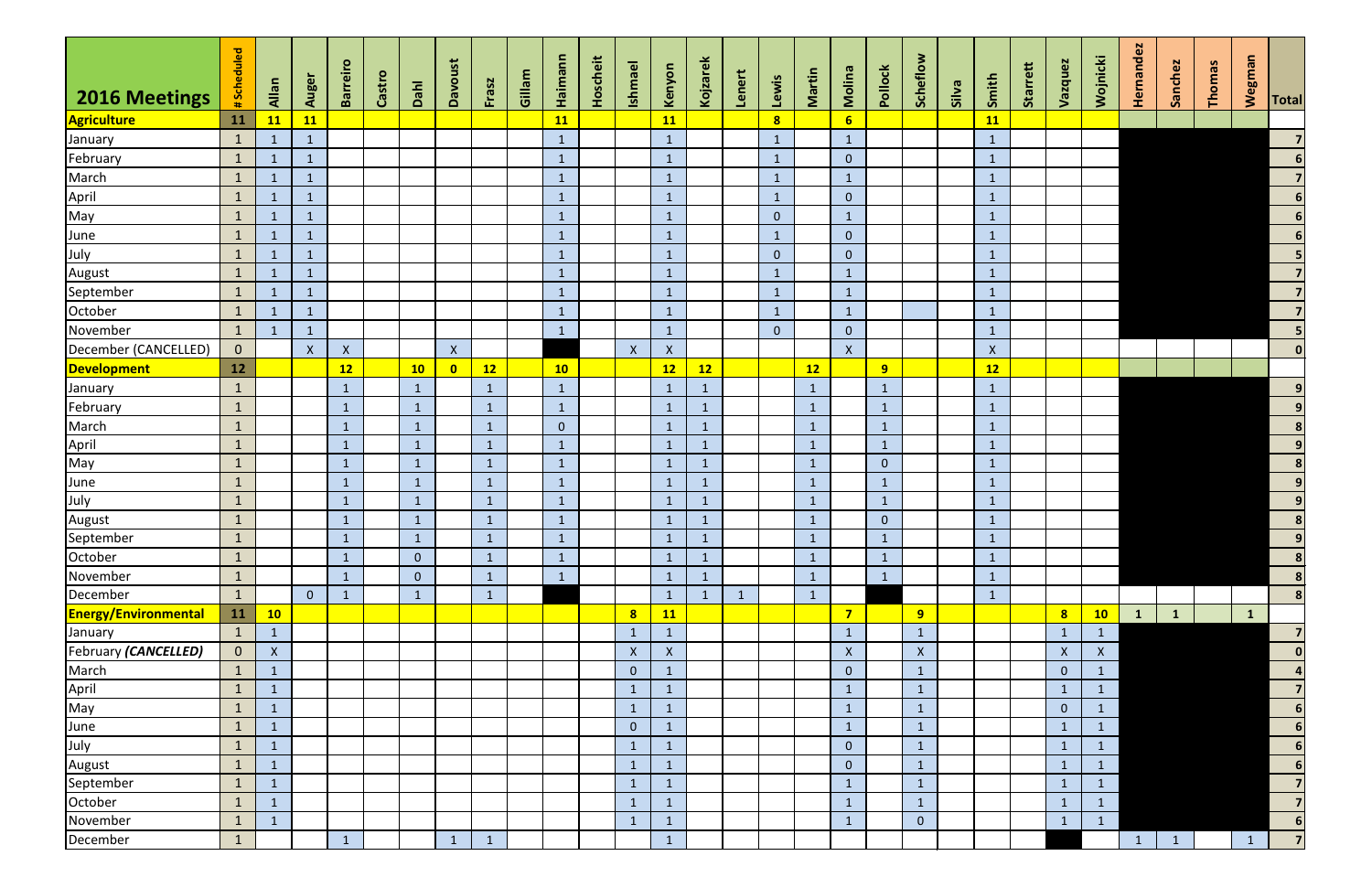| <b>2016 Meetings</b>        | #Scheduled     | Allan              | Auger            | <b>Barreiro</b> | Castro | Dahl           | <b>Davoust</b> | Frasz           | Gillam | Haimann        | Hoscheit | <b>Ishmael</b> | Kenyon             | Kojzarek       | Lenert       | Lewis          | Martin       | Molina             | Pollock        | Scheflow                  | Silva | Smith        | Starrett | Vazquez        | Wojnicki     | Hernandez       | Sanchez      | <b>Thomas</b> | Wegman       | <b>Total</b>               |
|-----------------------------|----------------|--------------------|------------------|-----------------|--------|----------------|----------------|-----------------|--------|----------------|----------|----------------|--------------------|----------------|--------------|----------------|--------------|--------------------|----------------|---------------------------|-------|--------------|----------|----------------|--------------|-----------------|--------------|---------------|--------------|----------------------------|
| <b>Agriculture</b>          | 11             | <b>11</b>          | <b>11</b>        |                 |        |                |                |                 |        | <b>11</b>      |          |                | 11                 |                |              | 8 <sup>1</sup> |              | 6 <sup>1</sup>     |                |                           |       | <b>11</b>    |          |                |              |                 |              |               |              |                            |
| January                     | $\mathbf{1}$   |                    | $\mathbf{1}$     |                 |        |                |                |                 |        | $\mathbf{1}$   |          |                | $\mathbf{1}$       |                |              | $\mathbf{1}$   |              | $\mathbf{1}$       |                |                           |       | $\mathbf{1}$ |          |                |              |                 |              |               |              | $\overline{7}$             |
| February                    | $\mathbf{1}$   |                    | $\mathbf{1}$     |                 |        |                |                |                 |        | $\mathbf{1}$   |          |                | $\mathbf{1}$       |                |              | $\mathbf{1}$   |              | $\mathbf{0}$       |                |                           |       | $\mathbf{1}$ |          |                |              |                 |              |               |              | $6 \overline{6}$           |
| March                       | $\vert$ 1      |                    | $\mathbf{1}$     |                 |        |                |                |                 |        | $\mathbf{1}$   |          |                | $\mathbf{1}$       |                |              | $\mathbf{1}$   |              | $1\,$              |                |                           |       | $\mathbf{1}$ |          |                |              |                 |              |               |              | $\overline{7}$             |
| April                       | $\mathbf{1}$   |                    | $\mathbf{1}$     |                 |        |                |                |                 |        | $\mathbf{1}$   |          |                | $\mathbf{1}$       |                |              | $\mathbf{1}$   |              | $\overline{0}$     |                |                           |       | $\mathbf{1}$ |          |                |              |                 |              |               |              | $\overline{\phantom{a}}$   |
| May                         | $\mathbf{1}$   | -1                 | $\mathbf{1}$     |                 |        |                |                |                 |        | $\mathbf{1}$   |          |                | $\mathbf{1}$       |                |              | $\overline{0}$ |              | $\mathbf{1}$       |                |                           |       | $\mathbf{1}$ |          |                |              |                 |              |               |              | $\overline{\phantom{a}}$   |
| June                        | $\mathbf{1}$   |                    | $\mathbf{1}$     |                 |        |                |                |                 |        | $\mathbf{1}$   |          |                | $\mathbf{1}$       |                |              | $\mathbf{1}$   |              | $\mathbf{0}$       |                |                           |       | $\mathbf{1}$ |          |                |              |                 |              |               |              | $\overline{\phantom{0}}$ 6 |
| July                        | $\mathbf{1}$   |                    | $\mathbf{1}$     |                 |        |                |                |                 |        | $\mathbf{1}$   |          |                | $\mathbf{1}$       |                |              | $\overline{0}$ |              | $\pmb{0}$          |                |                           |       | $\mathbf{1}$ |          |                |              |                 |              |               |              | $\overline{\mathbf{5}}$    |
| August                      | $\mathbf{1}$   | $\mathbf{1}$       | $\mathbf{1}$     |                 |        |                |                |                 |        | $\mathbf{1}$   |          |                | $\mathbf{1}$       |                |              | $\mathbf{1}$   |              | $\mathbf{1}$       |                |                           |       | $\mathbf{1}$ |          |                |              |                 |              |               |              | $\overline{7}$             |
| September                   | $\mathbf{1}$   | 1                  | $\mathbf{1}$     |                 |        |                |                |                 |        | $\mathbf{1}$   |          |                | $\mathbf{1}$       |                |              | $\mathbf{1}$   |              | $\mathbf{1}$       |                |                           |       | $\mathbf{1}$ |          |                |              |                 |              |               |              | $\overline{7}$             |
| October                     | $\mathbf{1}$   |                    | $\mathbf{1}$     |                 |        |                |                |                 |        | $\mathbf{1}$   |          |                | $\mathbf{1}$       |                |              | $\mathbf{1}$   |              | $\mathbf 1$        |                |                           |       | $\mathbf{1}$ |          |                |              |                 |              |               |              | $\overline{7}$             |
| November                    | $\mathbf{1}$   |                    | $\mathbf{1}$     |                 |        |                |                |                 |        | $\mathbf{1}$   |          |                | $\mathbf{1}$       |                |              | $\overline{0}$ |              | $\overline{0}$     |                |                           |       | $\mathbf{1}$ |          |                |              |                 |              |               |              | 5 <sup>1</sup>             |
| December (CANCELLED)        | $\overline{0}$ |                    | $\boldsymbol{X}$ | $\mathsf{X}^-$  |        |                | $\mathsf{X}$   |                 |        |                |          | $\mathsf{X}$   | $\pmb{\mathsf{X}}$ |                |              |                |              | $\mathsf{X}$       |                |                           |       | $\mathsf{X}$ |          |                |              |                 |              |               |              | 0                          |
| <b>Development</b>          | 12             |                    |                  | 12              |        | 10             | $\bullet$      | 12              |        | 10             |          |                | 12                 | 12             |              |                | 12           |                    | 9              |                           |       | 12           |          |                |              |                 |              |               |              |                            |
| January                     | $\mathbf{1}$   |                    |                  | $\mathbf{1}$    |        | $\mathbf{1}$   |                |                 |        | $\mathbf{1}$   |          |                | $\mathbf{1}$       | 1              |              |                | $\mathbf{1}$ |                    | $\mathbf{1}$   |                           |       | $\mathbf{1}$ |          |                |              |                 |              |               |              | $\overline{9}$             |
| February                    | $\mathbf{1}$   |                    |                  | $\mathbf{1}$    |        | $\mathbf{1}$   |                |                 |        | $\mathbf{1}$   |          |                | $\mathbf{1}$       |                |              |                | 1            |                    | $\mathbf{1}$   |                           |       | $\mathbf{1}$ |          |                |              |                 |              |               |              | $\overline{9}$             |
| March                       | $\mathbf{1}$   |                    |                  | $\mathbf{1}$    |        | $\mathbf{1}$   |                | $\sqrt{1}$      |        | $\overline{0}$ |          |                | $\mathbf{1}$       | $\mathbf{1}$   |              |                | $\mathbf{1}$ |                    | $\mathbf{1}$   |                           |       | $\mathbf{1}$ |          |                |              |                 |              |               |              | $\overline{\mathbf{8}}$    |
| April                       | $\mathbf{1}$   |                    |                  | $\mathbf{1}$    |        | $\mathbf{1}$   |                | $\mathbf{1}$    |        | $\mathbf{1}$   |          |                | $\mathbf{1}$       | $\mathbf{1}$   |              |                | $\mathbf{1}$ |                    | $\mathbf{1}$   |                           |       | $\mathbf{1}$ |          |                |              |                 |              |               |              | $\overline{9}$             |
| May                         | $\mathbf{1}$   |                    |                  | $\mathbf{1}$    |        | $\mathbf{1}$   |                | 1               |        | $\mathbf{1}$   |          |                | $\mathbf{1}$       | $\overline{1}$ |              |                | $\mathbf{1}$ |                    | $\overline{0}$ |                           |       | $\mathbf{1}$ |          |                |              |                 |              |               |              | $\overline{\mathbf{8}}$    |
| June                        | $\mathbf{1}$   |                    |                  | $\mathbf{1}$    |        | $\mathbf{1}$   |                | $\mathbf{1}$    |        | $\mathbf{1}$   |          |                | $\mathbf{1}$       | $\sqrt{1}$     |              |                | $\mathbf{1}$ |                    | $\mathbf{1}$   |                           |       | $\mathbf{1}$ |          |                |              |                 |              |               |              | $\overline{9}$             |
| July                        | $\mathbf{1}$   |                    |                  | $\mathbf{1}$    |        | $\mathbf{1}$   |                |                 |        | $\mathbf{1}$   |          |                | $\mathbf{1}$       |                |              |                | $\mathbf{1}$ |                    | $\mathbf{1}$   |                           |       | $\mathbf{1}$ |          |                |              |                 |              |               |              | $\overline{9}$             |
| August                      | $\mathbf{1}$   |                    |                  | 1               |        | $\mathbf{1}$   |                |                 |        | $\mathbf{1}$   |          |                | $\mathbf{1}$       | $\mathbf{1}$   |              |                | $\mathbf{1}$ |                    | $\overline{0}$ |                           |       | $\mathbf{1}$ |          |                |              |                 |              |               |              | $\overline{\mathbf{8}}$    |
| September                   | $\mathbf{1}$   |                    |                  | $\mathbf{1}$    |        | $\mathbf{1}$   |                | $\mathbf{1}$    |        | $\mathbf{1}$   |          |                | $\mathbf{1}$       | $\mathbf{1}$   |              |                | $\mathbf{1}$ |                    | $\mathbf{1}$   |                           |       | $\mathbf{1}$ |          |                |              |                 |              |               |              | $\overline{9}$             |
| October                     | $\mathbf{1}$   |                    |                  | $\mathbf{1}$    |        | $\overline{0}$ |                | $\mathbf 1$     |        | $\mathbf{1}$   |          |                | $\mathbf{1}$       | $\mathbf{1}$   |              |                | $\mathbf{1}$ |                    | $\mathbf{1}$   |                           |       | $\mathbf{1}$ |          |                |              |                 |              |               |              | 8                          |
| November                    | $\vert$ 1      |                    |                  | 1               |        | $\mathbf{0}$   |                | $\mathbf{1}$    |        | $\mathbf{1}$   |          |                | $\vert$ 1          | $\mathbf{1}$   |              |                | $\mathbf{1}$ |                    | $\mathbf{1}$   |                           |       | $\mathbf{1}$ |          |                |              |                 |              |               |              | $\boldsymbol{8}$           |
| December                    | $\mathbf{1}$   |                    | $\overline{0}$   | 1               |        | $\mathbf{1}$   |                | $\mathbf{1}$    |        |                |          |                | $\mathbf{1}$       | $\overline{1}$ | $\mathbf{1}$ |                | $\mathbf{1}$ |                    |                |                           |       | $\mathbf{1}$ |          |                |              |                 |              |               |              | $\boldsymbol{8}$           |
| <b>Energy/Environmental</b> | <b>11</b>      | 10                 |                  |                 |        |                |                |                 |        |                |          | 8              | 11                 |                |              |                |              | $\overline{7}$     |                | 9                         |       |              |          | 8              | 10           | $\mathbf{1}$    | $\mathbf{1}$ |               | $\mathbf{1}$ |                            |
| January                     | $\mathbf{1}$   | $\mathbf{1}$       |                  |                 |        |                |                |                 |        |                |          | $\mathbf{1}$   | $\mathbf{1}$       |                |              |                |              | $\mathbf{1}$       |                | $\mathbf{1}$              |       |              |          | $\mathbf{1}$   | $\mathbf{1}$ |                 |              |               |              | $\overline{7}$             |
| February (CANCELLED)        | $\overline{0}$ | $\pmb{\mathsf{X}}$ |                  |                 |        |                |                |                 |        |                |          | $\mathsf X$    | $\mathsf X$        |                |              |                |              | $\pmb{\mathsf{X}}$ |                | $\boldsymbol{\mathsf{X}}$ |       |              |          | $\mathsf X$    | $\mathsf X$  |                 |              |               |              | 0                          |
| March                       | $\mathbf{1}$   | $\mathbf{1}$       |                  |                 |        |                |                |                 |        |                |          | $\overline{0}$ | $\mathbf{1}$       |                |              |                |              | $\mathbf{0}$       |                | $\mathbf{1}$              |       |              |          | $\overline{0}$ | $\mathbf{1}$ |                 |              |               |              | $\overline{4}$             |
| April                       | $\mathbf{1}$   |                    |                  |                 |        |                |                |                 |        |                |          | $\mathbf{1}$   | $\mathbf{1}$       |                |              |                |              | $\mathbf{1}$       |                | $\mathbf{1}$              |       |              |          | $\mathbf{1}$   | $\mathbf{1}$ |                 |              |               |              | $\overline{7}$             |
| May                         | $\mathbf{1}$   | $\mathbf{1}$       |                  |                 |        |                |                |                 |        |                |          | $\mathbf{1}$   | $\mathbf{1}$       |                |              |                |              | $\mathbf{1}$       |                | $\mathbf{1}$              |       |              |          | $\mathbf{0}$   | $\mathbf{1}$ |                 |              |               |              | $6 \overline{6}$           |
| June                        | $\mathbf{1}$   | $\mathbf{1}$       |                  |                 |        |                |                |                 |        |                |          | $\overline{0}$ | $\mathbf{1}$       |                |              |                |              | $\mathbf{1}$       |                | $\mathbf{1}$              |       |              |          | $\mathbf{1}$   | $\mathbf{1}$ |                 |              |               |              | 6                          |
| July                        | $\mathbf{1}$   | $\mathbf{1}$       |                  |                 |        |                |                |                 |        |                |          | $\mathbf{1}$   | $\mathbf{1}$       |                |              |                |              | $\mathbf{0}$       |                | $\mathbf{1}$              |       |              |          | $\mathbf{1}$   | $\mathbf{1}$ |                 |              |               |              | 6                          |
| August                      | $\mathbf{1}$   | $\mathbf{1}$       |                  |                 |        |                |                |                 |        |                |          | $\mathbf{1}$   | $\mathbf{1}$       |                |              |                |              | $\mathbf{0}$       |                | $\mathbf{1}$              |       |              |          | $\mathbf{1}$   | $\mathbf{1}$ |                 |              |               |              | $\overline{\phantom{a}}$ 6 |
| September                   | $\mathbf{1}$   | $\mathbf 1$        |                  |                 |        |                |                |                 |        |                |          | $\mathbf{1}$   | $\mathbf{1}$       |                |              |                |              | $\mathbf{1}$       |                | $\mathbf{1}$              |       |              |          | $\mathbf{1}$   | $\mathbf{1}$ |                 |              |               |              | $\overline{7}$             |
| October                     | $\mathbf{1}$   | $\mathbf{1}$       |                  |                 |        |                |                |                 |        |                |          | $\mathbf{1}$   | $\mathbf{1}$       |                |              |                |              | $\mathbf 1$        |                | $\mathbf{1}$              |       |              |          | $\mathbf{1}$   | $\mathbf{1}$ |                 |              |               |              | $\overline{7}$             |
| November                    | $\mathbf{1}$   | $\mathbf{1}$       |                  |                 |        |                |                |                 |        |                |          | $\mathbf{1}$   | $\mathbf{1}$       |                |              |                |              | $\mathbf{1}$       |                | $\mathbf{0}$              |       |              |          | $\mathbf{1}$   | $\mathbf{1}$ |                 |              |               |              | $6 \overline{6}$           |
| December                    | $\mathbf{1}$   |                    |                  | $\mathbf{1}$    |        |                | $\mathbf{1}$   | $\vert 1 \vert$ |        |                |          |                | $\mathbf{1}$       |                |              |                |              |                    |                |                           |       |              |          |                |              | $\vert 1 \vert$ | $\mathbf{1}$ |               | $\mathbf{1}$ | $\overline{7}$             |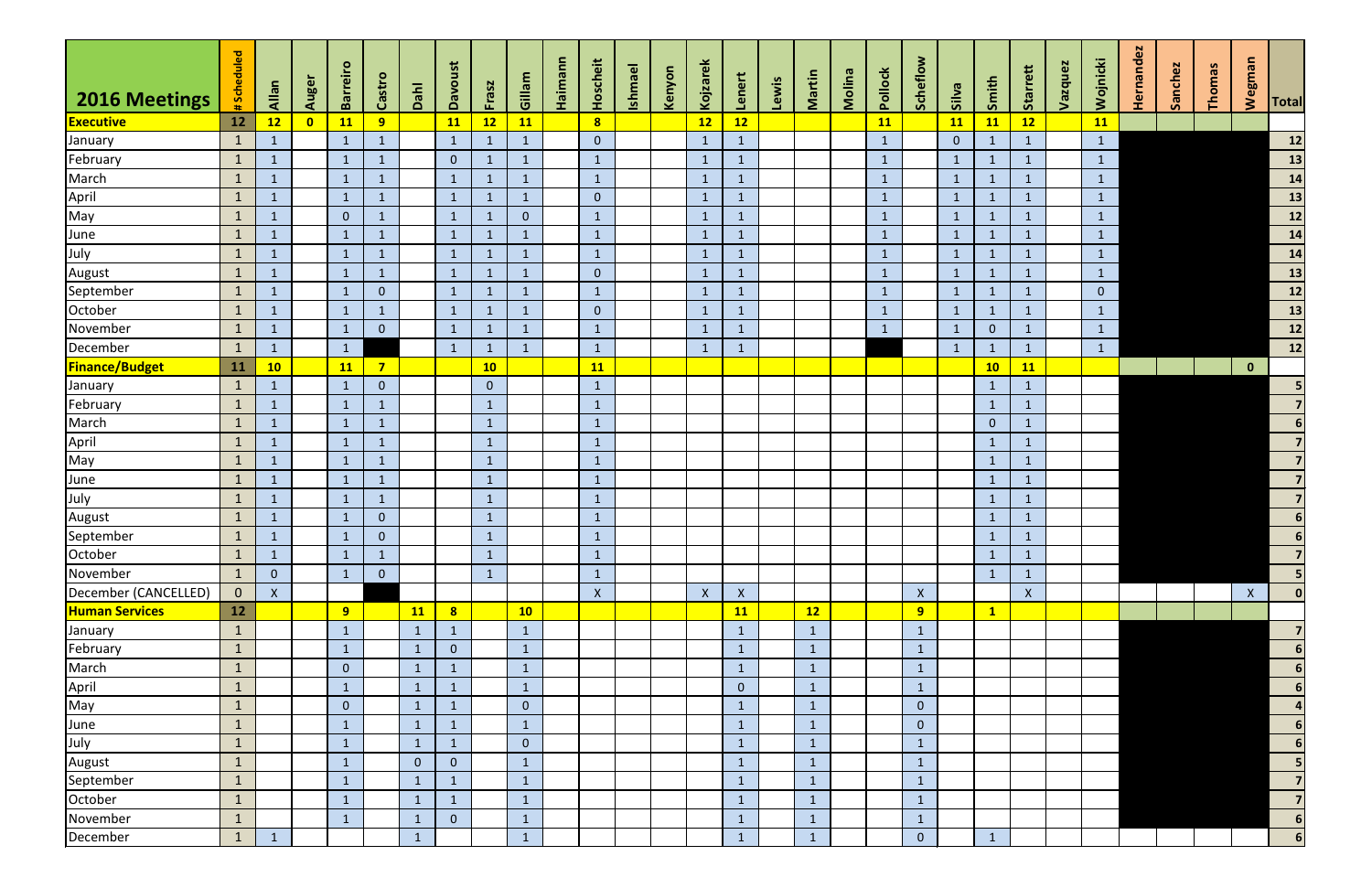|                       | #Scheduled     |                    |                         | <b>Barreiro</b> |                  |                | Davoust                 |              |                | Haimann | Hoscheit       | <b>Ishmael</b> |        | Kojzarek     |                |       |              |        |              | Scheflow           |                |                | Starrett     | Vazquez | Wojnicki       | Hernandez | Sanchez | Thomas | wegman       |                             |
|-----------------------|----------------|--------------------|-------------------------|-----------------|------------------|----------------|-------------------------|--------------|----------------|---------|----------------|----------------|--------|--------------|----------------|-------|--------------|--------|--------------|--------------------|----------------|----------------|--------------|---------|----------------|-----------|---------|--------|--------------|-----------------------------|
| <b>2016 Meetings</b>  |                | Allan              | Auger                   |                 | Castro           | Danh           |                         | Frasz        | Gillam         |         |                |                | Kenyon |              | Lenert         | Lewis | Martin       | Molina | Pollock      |                    | <b>Silva</b>   | Smith          |              |         |                |           |         |        |              |                             |
| <b>Executive</b>      | 12             | 12                 | $\overline{\mathbf{0}}$ | 11              | 9 <sup>°</sup>   |                | <b>11</b>               | 12           | <b>11</b>      |         | 8 <sup>1</sup> |                |        | 12           | 12             |       |              |        | 11           |                    | <b>11</b>      | 11             | 12           |         | 11             |           |         |        |              | <b>Total</b>                |
| January               | $\mathbf{1}$   |                    |                         | $\mathbf{1}$    | $\mathbf{1}$     |                | $\mathbf{1}$            |              | $\mathbf{1}$   |         | $\overline{0}$ |                |        | $\mathbf{1}$ | $\mathbf{1}$   |       |              |        | $\mathbf{1}$ |                    | $\overline{0}$ | $\mathbf{1}$   | $\mathbf{1}$ |         | $\mathbf{1}$   |           |         |        |              | $12$                        |
| February              | $\mathbf{1}$   |                    |                         | $\mathbf{1}$    | 1                |                | $\overline{0}$          |              | $\mathbf{1}$   |         | $\mathbf{1}$   |                |        | $\mathbf{1}$ | $\mathbf{1}$   |       |              |        | $\mathbf{1}$ |                    |                | $\mathbf{1}$   | $\mathbf{1}$ |         | $\mathbf{1}$   |           |         |        |              | 13                          |
| March                 | $\mathbf{1}$   | $\mathbf{1}$       |                         | $\mathbf{1}$    | $\mathbf{1}$     |                | $\mathbf{1}$            | $\mathbf 1$  | $\mathbf{1}$   |         | $\mathbf{1}$   |                |        | $\mathbf{1}$ | $\mathbf{1}$   |       |              |        | $\mathbf{1}$ |                    | $\mathbf{1}$   | $\mathbf{1}$   | $\mathbf{1}$ |         | $\mathbf{1}$   |           |         |        |              | $\overline{\phantom{a}}$ 14 |
| April                 | $\mathbf{1}$   | -1                 |                         | $\mathbf{1}$    | $\mathbf{1}$     |                | $\mathbf{1}$            | $\mathbf{1}$ | $\mathbf{1}$   |         | $\overline{0}$ |                |        | $\mathbf{1}$ | $\mathbf{1}$   |       |              |        | $\mathbf{1}$ |                    | $\mathbf{1}$   | $\mathbf{1}$   | $\mathbf{1}$ |         | $\mathbf{1}$   |           |         |        |              | 13                          |
| May                   | $\mathbf{1}$   | -1                 |                         | $\overline{0}$  | -1               |                | $\mathbf{1}$            |              | $\overline{0}$ |         | $\mathbf{1}$   |                |        | $\mathbf{1}$ | $\mathbf{1}$   |       |              |        | $\mathbf{1}$ |                    |                | $\mathbf{1}$   | $\mathbf{1}$ |         | $\mathbf{1}$   |           |         |        |              | $\overline{12}$             |
| June                  | $\mathbf{1}$   |                    |                         | $\mathbf{1}$    |                  |                | $\mathbf{1}$            |              | $\mathbf{1}$   |         | $\mathbf{1}$   |                |        | $\mathbf{1}$ |                |       |              |        | $\mathbf{1}$ |                    |                | $\mathbf{1}$   | $\mathbf{1}$ |         | $\mathbf{1}$   |           |         |        |              | 14                          |
| July                  | $\mathbf{1}$   | $\mathbf 1$        |                         | $\mathbf{1}$    | $\mathbf{1}$     |                | $\mathbf{1}$            | $\sqrt{1}$   | $\mathbf{1}$   |         | $\mathbf{1}$   |                |        | $\mathbf{1}$ | $\mathbf{1}$   |       |              |        | $\mathbf{1}$ |                    | $\mathbf{1}$   | $\mathbf{1}$   | $\mathbf{1}$ |         | $\mathbf{1}$   |           |         |        |              | 14                          |
| August                | $\mathbf{1}$   | $\mathbf 1$        |                         | $\mathbf{1}$    | $\mathbf{1}$     |                | $\mathbf{1}$            |              | $\mathbf{1}$   |         | $\overline{0}$ |                |        | $\mathbf{1}$ | $\mathbf{1}$   |       |              |        | $\mathbf{1}$ |                    | $\mathbf{1}$   | $\mathbf{1}$   | $\mathbf{1}$ |         | $\mathbf{1}$   |           |         |        |              | $\overline{\mathbf{13}}$    |
| September             | $\mathbf{1}$   | 1                  |                         | $\mathbf{1}$    | $\mathbf{0}$     |                | $\mathbf{1}$            | -1           | $\mathbf{1}$   |         | $\mathbf{1}$   |                |        | $\mathbf{1}$ | $\mathbf{1}$   |       |              |        | $\mathbf{1}$ |                    | $\mathbf{1}$   | $\mathbf{1}$   | $\mathbf{1}$ |         | $\overline{0}$ |           |         |        |              | $\overline{\mathbf{12}}$    |
| October               | $\mathbf{1}$   | 1                  |                         | $\mathbf{1}$    | $\mathbf{1}$     |                | $\mathbf{1}$            |              | $\mathbf{1}$   |         | $\mathbf{0}$   |                |        | $\mathbf{1}$ | $\mathbf{1}$   |       |              |        | $\mathbf{1}$ |                    |                | $\mathbf{1}$   | $\mathbf{1}$ |         | $\mathbf{1}$   |           |         |        |              | $\frac{13}{13}$             |
| November              | $\mathbf{1}$   |                    |                         | $\mathbf{1}$    | $\overline{0}$   |                | $\mathbf{1}$            |              | $\mathbf{1}$   |         | $\mathbf{1}$   |                |        | $\mathbf{1}$ | $\mathbf{1}$   |       |              |        | $\mathbf{1}$ |                    |                | $\overline{0}$ | $\mathbf{1}$ |         | $\mathbf{1}$   |           |         |        |              | $12$                        |
| December              | $\mathbf{1}$   |                    |                         | $\mathbf{1}$    |                  |                | $\mathbf{1}$            |              | $\mathbf{1}$   |         | $\mathbf{1}$   |                |        | $\mathbf{1}$ | $\mathbf{1}$   |       |              |        |              |                    |                | $\mathbf{1}$   | $\mathbf{1}$ |         | $\mathbf{1}$   |           |         |        |              | $\overline{\mathbf{12}}$    |
| <b>Finance/Budget</b> | 11             | 10                 |                         | <b>11</b>       | $\overline{7}$   |                |                         | 10           |                |         | <b>11</b>      |                |        |              |                |       |              |        |              |                    |                | 10             | <b>11</b>    |         |                |           |         |        | $\mathbf{0}$ |                             |
| January               | $\mathbf{1}$   | 1                  |                         | $\mathbf{1}$    | $\overline{0}$   |                |                         | $\mathbf{0}$ |                |         | $\mathbf{1}$   |                |        |              |                |       |              |        |              |                    |                | $\mathbf{1}$   | $\mathbf{1}$ |         |                |           |         |        |              |                             |
| February              | $\mathbf{1}$   | 1                  |                         | $\mathbf{1}$    | $\mathbf{1}$     |                |                         | $\mathbf{1}$ |                |         | $\mathbf{1}$   |                |        |              |                |       |              |        |              |                    |                | $\mathbf{1}$   | $\mathbf{1}$ |         |                |           |         |        |              |                             |
| March                 | $\mathbf{1}$   |                    |                         | $\mathbf{1}$    | $\mathbf 1$      |                |                         |              |                |         | $\mathbf{1}$   |                |        |              |                |       |              |        |              |                    |                | $\overline{0}$ | $\mathbf{1}$ |         |                |           |         |        |              | 6                           |
| April                 | $\mathbf{1}$   |                    |                         | $\mathbf{1}$    |                  |                |                         |              |                |         | $\mathbf{1}$   |                |        |              |                |       |              |        |              |                    |                | $\mathbf{1}$   | $\mathbf{1}$ |         |                |           |         |        |              | $\overline{7}$              |
| May                   | $\mathbf{1}$   |                    |                         | $\mathbf{1}$    |                  |                |                         |              |                |         | $\mathbf{1}$   |                |        |              |                |       |              |        |              |                    |                | $\mathbf{1}$   | $\mathbf{1}$ |         |                |           |         |        |              | $\overline{\mathbf{z}}$     |
| June                  | $\mathbf{1}$   | -1                 |                         | $\mathbf{1}$    | $\mathbf{1}$     |                |                         | $\mathbf{1}$ |                |         | $\mathbf{1}$   |                |        |              |                |       |              |        |              |                    |                | $\mathbf{1}$   | $\mathbf{1}$ |         |                |           |         |        |              | $\overline{7}$              |
| July                  | $\mathbf{1}$   | $\mathbf 1$        |                         | $\mathbf{1}$    | $\mathbf{1}$     |                |                         | $\mathbf{1}$ |                |         | $\mathbf{1}$   |                |        |              |                |       |              |        |              |                    |                | $\mathbf{1}$   | $\mathbf{1}$ |         |                |           |         |        |              | $\overline{\mathbf{z}}$     |
| August                | $\mathbf{1}$   | -1                 |                         | $\mathbf{1}$    | $\overline{0}$   |                |                         | 1            |                |         | $\mathbf{1}$   |                |        |              |                |       |              |        |              |                    |                | $\mathbf{1}$   | $\mathbf{1}$ |         |                |           |         |        |              | $6 \mid$                    |
| September             | $\mathbf{1}$   |                    |                         | $\mathbf{1}$    | $\boldsymbol{0}$ |                |                         |              |                |         | $\mathbf{1}$   |                |        |              |                |       |              |        |              |                    |                | $\mathbf{1}$   | $\mathbf{1}$ |         |                |           |         |        |              | 6                           |
| October               | $\mathbf{1}$   |                    |                         | $\mathbf{1}$    |                  |                |                         |              |                |         | $\mathbf{1}$   |                |        |              |                |       |              |        |              |                    |                | $\mathbf{1}$   | $\mathbf{1}$ |         |                |           |         |        |              | $\overline{\mathbf{z}}$     |
| November              | $\mathbf{1}$   | $\mathbf{0}$       |                         | $\mathbf{1}$    | $\boldsymbol{0}$ |                |                         |              |                |         | $\mathbf{1}$   |                |        |              |                |       |              |        |              |                    |                | $\mathbf{1}$   | $\mathbf{1}$ |         |                |           |         |        |              |                             |
| December (CANCELLED)  | $\overline{0}$ | $\pmb{\mathsf{X}}$ |                         |                 |                  |                |                         |              |                |         | $\mathsf{X}$   |                |        | $\mathsf{X}$ | $\mathsf{X}$   |       |              |        |              | $\pmb{\mathsf{X}}$ |                |                | X            |         |                |           |         |        | $\mathsf X$  | $\mathbf{0}$                |
| <b>Human Services</b> | 12             |                    |                         | 9 <sup>°</sup>  |                  | <b>11</b>      | $\overline{\mathbf{8}}$ |              | 10             |         |                |                |        |              | <b>11</b>      |       | 12           |        |              | 9                  |                | $\mathbf{1}$   |              |         |                |           |         |        |              |                             |
| January               | $\mathbf{1}$   |                    |                         | $\mathbf{1}$    |                  | $\mathbf{1}$   | $\mathbf{1}$            |              | $\mathbf{1}$   |         |                |                |        |              | $\mathbf{1}$   |       | $\mathbf{1}$ |        |              | $\mathbf{1}$       |                |                |              |         |                |           |         |        |              | $\overline{7}$              |
| February              | $\mathbf{1}$   |                    |                         | $\mathbf{1}$    |                  | $\mathbf{1}$   | $\overline{0}$          |              | $\mathbf{1}$   |         |                |                |        |              | $\mathbf{1}$   |       | $\mathbf{1}$ |        |              | $\mathbf{1}$       |                |                |              |         |                |           |         |        |              | $6 \mid$                    |
| March                 | $\mathbf{1}$   |                    |                         | $\overline{0}$  |                  | $\mathbf{1}$   | $\mathbf{1}$            |              | $\mathbf{1}$   |         |                |                |        |              | $\mathbf{1}$   |       | $\mathbf{1}$ |        |              | $\mathbf{1}$       |                |                |              |         |                |           |         |        |              | 6                           |
| April                 | $\mathbf{1}$   |                    |                         | $\mathbf{1}$    |                  | $\mathbf{1}$   | $\mathbf{1}$            |              | $\mathbf{1}$   |         |                |                |        |              | $\overline{0}$ |       | $\mathbf{1}$ |        |              | $\mathbf{1}$       |                |                |              |         |                |           |         |        |              | 6 <sub>1</sub>              |
| May                   | $\mathbf{1}$   |                    |                         | $\overline{0}$  |                  | $\mathbf{1}$   | $\mathbf{1}$            |              | $\overline{0}$ |         |                |                |        |              | $\mathbf{1}$   |       | $\mathbf{1}$ |        |              | $\overline{0}$     |                |                |              |         |                |           |         |        |              | $\overline{4}$              |
| June                  | $\mathbf{1}$   |                    |                         | $\mathbf{1}$    |                  | $\mathbf{1}$   | $\vert$ 1               |              | $\mathbf{1}$   |         |                |                |        |              | $\mathbf{1}$   |       | $\mathbf{1}$ |        |              | $\mathbf 0$        |                |                |              |         |                |           |         |        |              | $6 \mid$                    |
| July                  | $\mathbf{1}$   |                    |                         | $\mathbf{1}$    |                  | $\mathbf{1}$   | $\mathbf{1}$            |              | $\overline{0}$ |         |                |                |        |              | $\mathbf{1}$   |       | $\mathbf{1}$ |        |              | $\mathbf{1}$       |                |                |              |         |                |           |         |        |              | 6                           |
| August                | $\mathbf{1}$   |                    |                         | $\mathbf{1}$    |                  | $\overline{0}$ | $\overline{0}$          |              | $\mathbf{1}$   |         |                |                |        |              | $\mathbf{1}$   |       | $\mathbf{1}$ |        |              | $\vert$ 1          |                |                |              |         |                |           |         |        |              | $5\phantom{a}$              |
| September             | $\mathbf{1}$   |                    |                         | 1               |                  | $\mathbf{1}$   | $\boxed{1}$             |              | $\mathbf{1}$   |         |                |                |        |              | $1\,$          |       | $\mathbf{1}$ |        |              | $\mathbf{1}$       |                |                |              |         |                |           |         |        |              | $\overline{\mathbf{z}}$     |
| October               | $\mathbf{1}$   |                    |                         | $\mathbf{1}$    |                  | $\mathbf{1}$   | $\mathbf{1}$            |              | $\mathbf{1}$   |         |                |                |        |              | $\mathbf{1}$   |       | $\mathbf{1}$ |        |              | $\mathbf{1}$       |                |                |              |         |                |           |         |        |              | $\overline{\mathbf{z}}$     |
| November              | $\mathbf{1}$   |                    |                         | $\mathbf{1}$    |                  | $\mathbf{1}$   | $\overline{0}$          |              | $\mathbf{1}$   |         |                |                |        |              | $\mathbf{1}$   |       | $\mathbf{1}$ |        |              | $\mathbf{1}$       |                |                |              |         |                |           |         |        |              | 6 <sup>1</sup>              |
| December              | $\vert$ 1      |                    |                         |                 |                  | $\mathbf{1}$   |                         |              | $\mathbf{1}$   |         |                |                |        |              | $\mathbf{1}$   |       | $\mathbf{1}$ |        |              | $\boldsymbol{0}$   |                | $\mathbf{1}$   |              |         |                |           |         |        |              | $6 \mid$                    |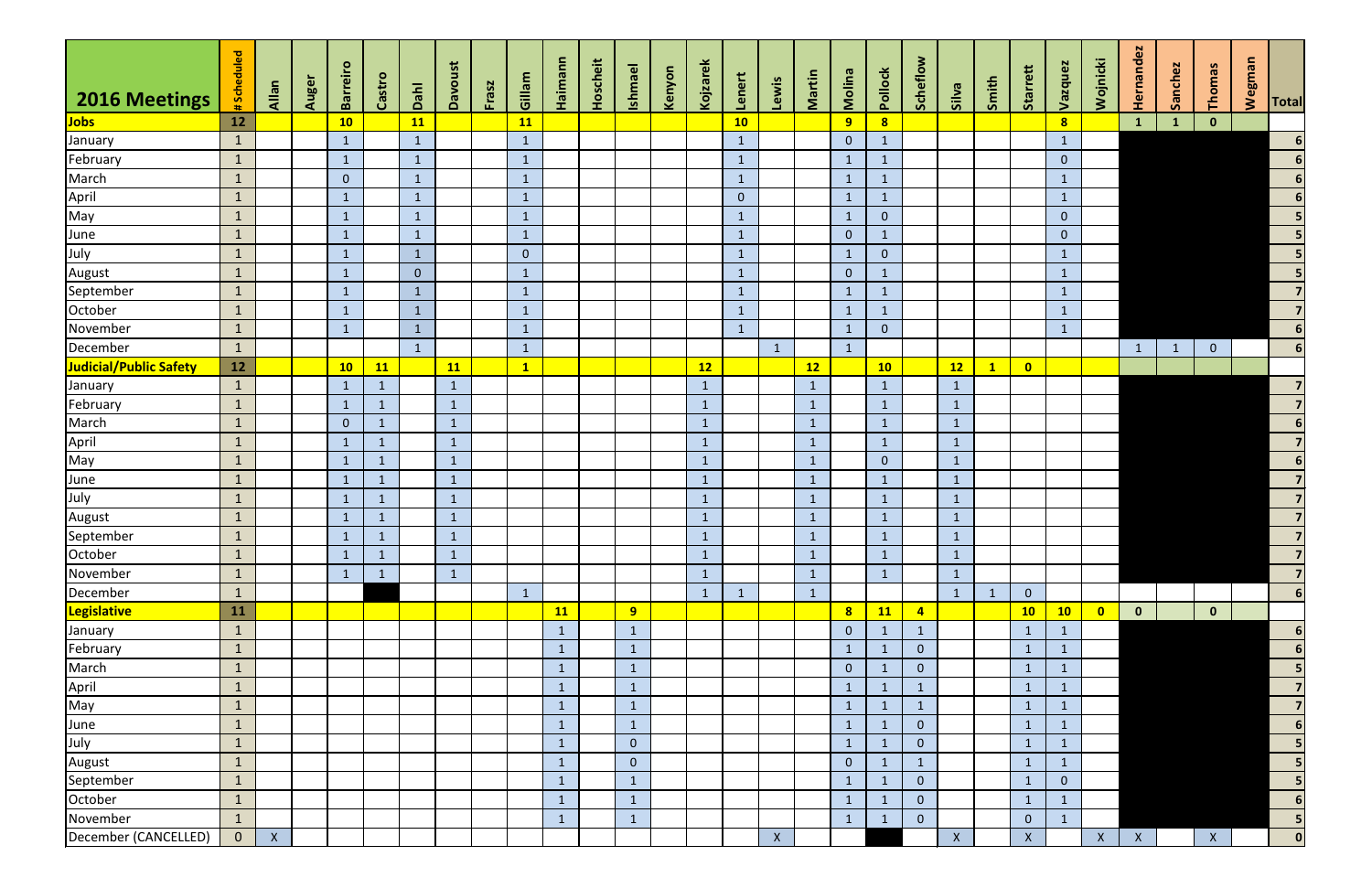| 2016 Meetings          | #Scheduled     | Allan            | Auger | <b>Barreiro</b> | Castro       | Dahl           | <b>Davoust</b> | Frasz | Gillam       | Haimann      | Hoscheit | <b>Ishmael</b> | Kenyon | Kojzarek     | Lenert         | Lewis        | Martin       | Molina         | Pollock        | Scheflow       | Silva        | Smith        | Starrett     | Vazquez        | Wojnicki  | Hernandez    | Sanchez      | Thomas         | <b>Wegman</b> | <b>Total</b>             |
|------------------------|----------------|------------------|-------|-----------------|--------------|----------------|----------------|-------|--------------|--------------|----------|----------------|--------|--------------|----------------|--------------|--------------|----------------|----------------|----------------|--------------|--------------|--------------|----------------|-----------|--------------|--------------|----------------|---------------|--------------------------|
| <b>Jobs</b>            | 12             |                  |       | 10              |              | 11             |                |       | <b>11</b>    |              |          |                |        |              | 10             |              |              | 9              | 8              |                |              |              |              | 8              |           | $\mathbf{1}$ | $\mathbf{1}$ | $\mathbf{0}$   |               |                          |
| January                | $\mathbf{1}$   |                  |       | $\mathbf{1}$    |              | $\mathbf{1}$   |                |       | $\mathbf{1}$ |              |          |                |        |              | $\mathbf{1}$   |              |              | $\overline{0}$ | $\mathbf{1}$   |                |              |              |              | $\mathbf{1}$   |           |              |              |                |               | $\boldsymbol{6}$         |
| February               | $\mathbf{1}$   |                  |       | $\mathbf{1}$    |              | $\mathbf{1}$   |                |       | $\mathbf{1}$ |              |          |                |        |              | $\mathbf{1}$   |              |              | $\mathbf{1}$   | $\mathbf{1}$   |                |              |              |              | $\overline{0}$ |           |              |              |                |               | $\boldsymbol{6}$         |
| March                  | $\mathbf{1}$   |                  |       | $\overline{0}$  |              | $\mathbf{1}$   |                |       | $\mathbf{1}$ |              |          |                |        |              | $\mathbf{1}$   |              |              | $\mathbf{1}$   | $\mathbf{1}$   |                |              |              |              | $\mathbf{1}$   |           |              |              |                |               | $\boldsymbol{6}$         |
| April                  | $\mathbf{1}$   |                  |       | $\mathbf{1}$    |              | $\mathbf{1}$   |                |       | $\mathbf{1}$ |              |          |                |        |              | $\overline{0}$ |              |              | $\mathbf{1}$   | $\mathbf{1}$   |                |              |              |              | $\mathbf{1}$   |           |              |              |                |               | $\boldsymbol{6}$         |
| May                    | $\mathbf{1}$   |                  |       | $\mathbf{1}$    |              | $\mathbf{1}$   |                |       | $\mathbf{1}$ |              |          |                |        |              | $\mathbf{1}$   |              |              | $\mathbf{1}$   | $\overline{0}$ |                |              |              |              | $\overline{0}$ |           |              |              |                |               | $\overline{\phantom{a}}$ |
| June                   | $\mathbf{1}$   |                  |       | $\mathbf{1}$    |              | $\mathbf{1}$   |                |       | $\mathbf{1}$ |              |          |                |        |              | $\mathbf{1}$   |              |              | $\overline{0}$ | $\mathbf{1}$   |                |              |              |              | $\overline{0}$ |           |              |              |                |               | $\overline{\mathbf{5}}$  |
| July                   | $\mathbf{1}$   |                  |       | $\mathbf{1}$    |              | $\mathbf{1}$   |                |       | $\mathbf{0}$ |              |          |                |        |              | $\mathbf{1}$   |              |              | $\mathbf{1}$   | $\overline{0}$ |                |              |              |              | $\mathbf{1}$   |           |              |              |                |               | $\overline{\mathbf{5}}$  |
| August                 | $\mathbf{1}$   |                  |       | $\mathbf{1}$    |              | $\overline{0}$ |                |       | $\mathbf{1}$ |              |          |                |        |              | $\mathbf{1}$   |              |              | $\overline{0}$ | $\mathbf{1}$   |                |              |              |              | $\mathbf{1}$   |           |              |              |                |               | $\overline{\mathbf{5}}$  |
| September              | $\mathbf{1}$   |                  |       | $\mathbf{1}$    |              | $\mathbf{1}$   |                |       | $\mathbf{1}$ |              |          |                |        |              | $\mathbf{1}$   |              |              | $\mathbf{1}$   | $\mathbf{1}$   |                |              |              |              | $\mathbf{1}$   |           |              |              |                |               | $\overline{7}$           |
| October                | $\mathbf{1}$   |                  |       | $\mathbf{1}$    |              | $\mathbf{1}$   |                |       | $\mathbf{1}$ |              |          |                |        |              | $\mathbf{1}$   |              |              | $\mathbf{1}$   | $\mathbf{1}$   |                |              |              |              | $\mathbf{1}$   |           |              |              |                |               | $\overline{7}$           |
| November               | $\mathbf{1}$   |                  |       | $\mathbf{1}$    |              | $\mathbf{1}$   |                |       | $\mathbf{1}$ |              |          |                |        |              | $\mathbf{1}$   |              |              | $\mathbf{1}$   | $\overline{0}$ |                |              |              |              | $\mathbf{1}$   |           |              |              |                |               | $6\phantom{1}$           |
| December               | $\mathbf{1}$   |                  |       |                 |              | $\mathbf{1}$   |                |       | $\mathbf{1}$ |              |          |                |        |              |                | $\mathbf{1}$ |              | $\mathbf{1}$   |                |                |              |              |              |                |           | $\mathbf{1}$ | $\mathbf{1}$ | $\overline{0}$ |               | $6\phantom{1}$           |
| Judicial/Public Safety | 12             |                  |       | 10              | <b>11</b>    |                | <b>11</b>      |       | $\mathbf{1}$ |              |          |                |        | 12           |                |              | 12           |                | 10             |                | 12           | $\mathbf{1}$ | $\bullet$    |                |           |              |              |                |               |                          |
| January                | $\mathbf{1}$   |                  |       | $\mathbf{1}$    |              |                | $\mathbf{1}$   |       |              |              |          |                |        | $\mathbf 1$  |                |              |              |                | $\mathbf{1}$   |                | $\mathbf{1}$ |              |              |                |           |              |              |                |               | $\overline{7}$           |
| February               | $\mathbf{1}$   |                  |       | $\mathbf{1}$    |              |                | $\mathbf{1}$   |       |              |              |          |                |        | $\mathbf 1$  |                |              |              |                | $\mathbf{1}$   |                | $\mathbf{1}$ |              |              |                |           |              |              |                |               | $\overline{7}$           |
| March                  | $\mathbf{1}$   |                  |       | $\overline{0}$  | $\mathbf{1}$ |                | $\mathbf{1}$   |       |              |              |          |                |        | $\mathbf{1}$ |                |              | $\mathbf{1}$ |                | $\mathbf{1}$   |                | $\mathbf{1}$ |              |              |                |           |              |              |                |               | $6\overline{6}$          |
| April                  | $\mathbf{1}$   |                  |       | $\mathbf{1}$    | $\mathbf{1}$ |                | $\mathbf{1}$   |       |              |              |          |                |        | $\mathbf{1}$ |                |              | $\mathbf{1}$ |                | $\mathbf{1}$   |                | $\mathbf{1}$ |              |              |                |           |              |              |                |               | $\overline{\mathbf{z}}$  |
| May                    | $\mathbf{1}$   |                  |       | $\mathbf{1}$    | 1            |                | $\mathbf{1}$   |       |              |              |          |                |        | $\mathbf{1}$ |                |              |              |                | $\overline{0}$ |                | $\mathbf{1}$ |              |              |                |           |              |              |                |               | $6\phantom{a}$           |
| June                   | $\vert$ 1      |                  |       | $\mathbf{1}$    | 1            |                | $\mathbf{1}$   |       |              |              |          |                |        | $\mathbf 1$  |                |              |              |                | $\mathbf{1}$   |                | $\mathbf{1}$ |              |              |                |           |              |              |                |               | $\overline{\mathbf{z}}$  |
| July                   | $\mathbf{1}$   |                  |       | $\mathbf{1}$    |              |                | $\mathbf{1}$   |       |              |              |          |                |        | $\mathbf{1}$ |                |              |              |                | $\mathbf{1}$   |                | $\mathbf{1}$ |              |              |                |           |              |              |                |               | $\overline{\mathbf{z}}$  |
| August                 | $\mathbf{1}$   |                  |       | $\mathbf{1}$    |              |                | $\mathbf{1}$   |       |              |              |          |                |        | $\mathbf 1$  |                |              |              |                | $\mathbf{1}$   |                | $\mathbf{1}$ |              |              |                |           |              |              |                |               | $\overline{7}$           |
| September              | $\mathbf{1}$   |                  |       | $\mathbf{1}$    | 1            |                | $\mathbf{1}$   |       |              |              |          |                |        | $\mathbf{1}$ |                |              |              |                | $\mathbf{1}$   |                | $\mathbf{1}$ |              |              |                |           |              |              |                |               |                          |
| October                | $\mathbf{1}$   |                  |       | $\mathbf{1}$    | $\mathbf{1}$ |                | $\mathbf{1}$   |       |              |              |          |                |        | $\mathbf{1}$ |                |              | $\mathbf{1}$ |                | $\mathbf{1}$   |                | $\mathbf{1}$ |              |              |                |           |              |              |                |               | $\overline{\mathbf{z}}$  |
| November               | $\mathbf{1}$   |                  |       | $\mathbf{1}$    | $\mathbf{1}$ |                | $\mathbf{1}$   |       |              |              |          |                |        | -1           |                |              |              |                | $\mathbf{1}$   |                | $\mathbf{1}$ |              |              |                |           |              |              |                |               | $\overline{\mathbf{z}}$  |
| December               | $\mathbf{1}$   |                  |       |                 |              |                |                |       | $\mathbf{1}$ |              |          |                |        |              | $\mathbf{1}$   |              |              |                |                |                | $\mathbf{1}$ | $\mathbf{1}$ | $\mathbf{0}$ |                |           |              |              |                |               | $6 \overline{6}$         |
| <b>Legislative</b>     | 11             |                  |       |                 |              |                |                |       |              | <b>11</b>    |          | 9              |        |              |                |              |              | 8              | 11             | $\overline{4}$ |              |              | 10           | 10             | $\bullet$ | $\mathbf{0}$ |              | $\mathbf{0}$   |               |                          |
| January                | $\mathbf{1}$   |                  |       |                 |              |                |                |       |              | $\mathbf{1}$ |          | $\mathbf{1}$   |        |              |                |              |              | $\mathbf{0}$   | $\mathbf{1}$   | $\mathbf{1}$   |              |              | $\mathbf{1}$ | $\mathbf{1}$   |           |              |              |                |               | 6                        |
| February               | $\mathbf{1}$   |                  |       |                 |              |                |                |       |              | $\mathbf{1}$ |          | $\mathbf{1}$   |        |              |                |              |              | $\mathbf{1}$   | $\mathbf{1}$   | $\mathbf{0}$   |              |              | $\mathbf{1}$ | $\mathbf{1}$   |           |              |              |                |               | $6\phantom{1}$           |
| March                  | $\mathbf{1}$   |                  |       |                 |              |                |                |       |              | $\mathbf{1}$ |          | $\mathbf{1}$   |        |              |                |              |              | $\mathbf{0}$   | $\mathbf{1}$   | $\mathbf{0}$   |              |              | $\mathbf{1}$ | $\mathbf{1}$   |           |              |              |                |               | $\overline{\mathbf{5}}$  |
|                        | $\mathbf{1}$   |                  |       |                 |              |                |                |       |              | $\mathbf{1}$ |          | $\mathbf{1}$   |        |              |                |              |              | $\mathbf{1}$   | $\mathbf{1}$   |                |              |              |              | $\mathbf 1$    |           |              |              |                |               | $\overline{7}$           |
| April<br>May           | $\mathbf{1}$   |                  |       |                 |              |                |                |       |              | $\mathbf{1}$ |          | $\mathbf{1}$   |        |              |                |              |              | $\mathbf{1}$   | $\mathbf{1}$   |                |              |              |              | $\mathbf{1}$   |           |              |              |                |               | $\overline{7}$           |
| June                   | $\mathbf{1}$   |                  |       |                 |              |                |                |       |              | $\mathbf{1}$ |          | $\mathbf{1}$   |        |              |                |              |              | $\mathbf{1}$   | $\mathbf{1}$   | $\mathbf{0}$   |              |              | $\mathbf{1}$ | $\mathbf{1}$   |           |              |              |                |               | $6\phantom{1}$           |
| July                   | $\mathbf{1}$   |                  |       |                 |              |                |                |       |              | $\mathbf{1}$ |          | $\overline{0}$ |        |              |                |              |              | $\mathbf{1}$   | $\mathbf{1}$   | $\mathbf{0}$   |              |              | $\mathbf{1}$ | $\mathbf{1}$   |           |              |              |                |               | $\overline{\mathbf{5}}$  |
| <b>August</b>          | $\mathbf{1}$   |                  |       |                 |              |                |                |       |              | $\mathbf{1}$ |          | $\overline{0}$ |        |              |                |              |              | $\mathbf{0}$   | $\mathbf{1}$   |                |              |              | $\mathbf{1}$ | $\mathbf{1}$   |           |              |              |                |               | $5\phantom{a}$           |
| September              | $\mathbf{1}$   |                  |       |                 |              |                |                |       |              | $\mathbf{1}$ |          | $\mathbf{1}$   |        |              |                |              |              | $\mathbf{1}$   | $\mathbf{1}$   | $\mathbf{0}$   |              |              | $\mathbf{1}$ | $\overline{0}$ |           |              |              |                |               | $5\overline{)}$          |
| October                | $\mathbf{1}$   |                  |       |                 |              |                |                |       |              | $\mathbf{1}$ |          | $\mathbf{1}$   |        |              |                |              |              | $\mathbf{1}$   | $\mathbf{1}$   | $\mathbf{0}$   |              |              |              | $\mathbf{1}$   |           |              |              |                |               | 6                        |
| November               | $\mathbf{1}$   |                  |       |                 |              |                |                |       |              | $\mathbf{1}$ |          | $\mathbf{1}$   |        |              |                |              |              | $\mathbf{1}$   | $\mathbf{1}$   | $\mathbf{0}$   |              |              | $\mathbf{0}$ | $\mathbf{1}$   |           |              |              |                |               | 5                        |
| December (CANCELLED)   | $\overline{0}$ | $\boldsymbol{X}$ |       |                 |              |                |                |       |              |              |          |                |        |              |                | X            |              |                |                |                | $\mathsf X$  |              | $\mathsf X$  |                | X         | X            |              | $\mathsf{X}$   |               | $\mathbf 0$              |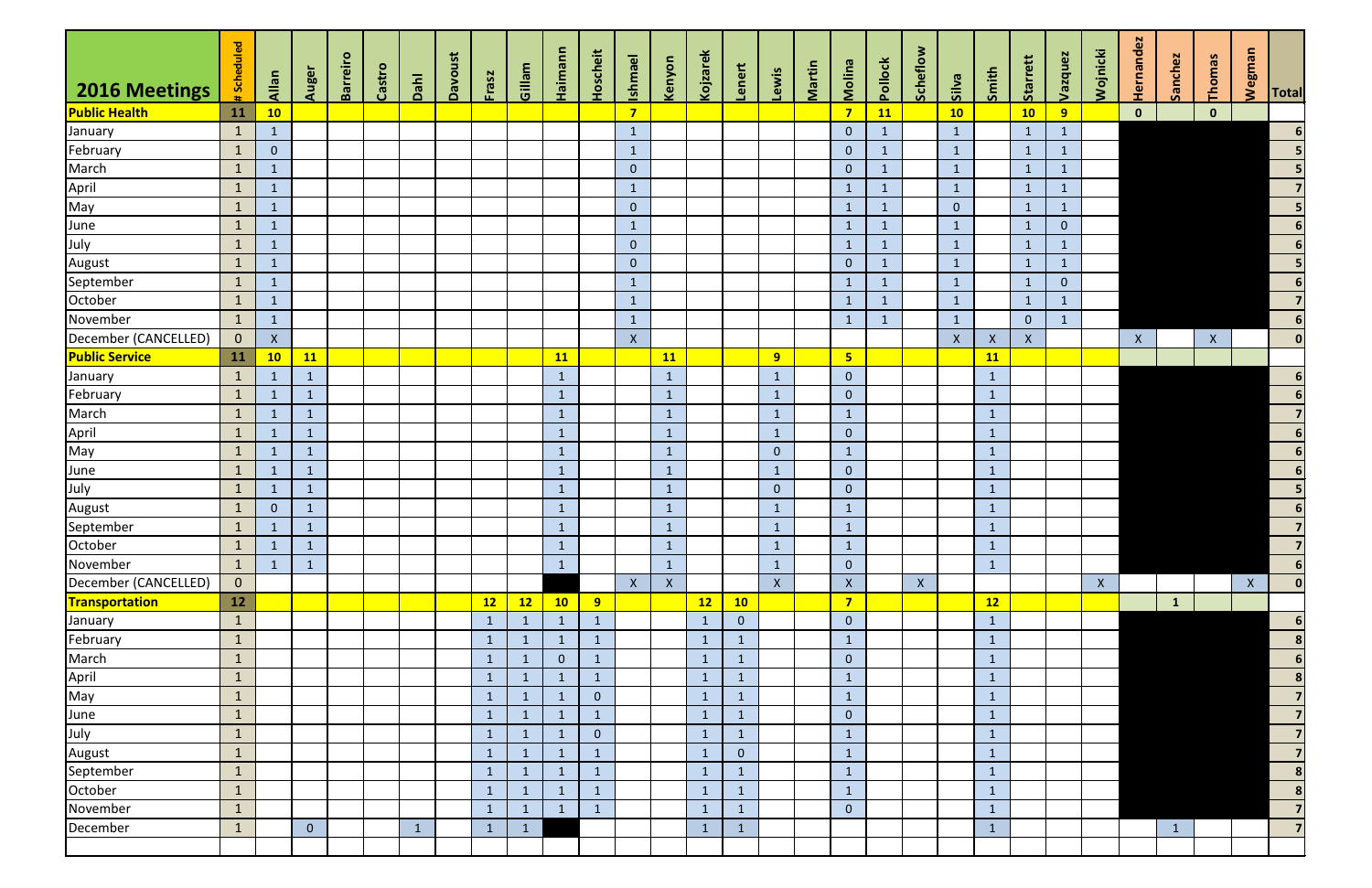|                       | #Scheduled     |                           |                | Barreiro |        |              | Davoust |              |              | Haimann        | <b>Hoscheit</b> | <b>Ishmael</b> |                 | Kojzarek     |                |                |        |                |              | Scheflow |                    |              | Starrett       | Vazquez        | Wojnicki | Hernandez    | Sanchez      | Thomas       | <b>Wegman</b> |                            |
|-----------------------|----------------|---------------------------|----------------|----------|--------|--------------|---------|--------------|--------------|----------------|-----------------|----------------|-----------------|--------------|----------------|----------------|--------|----------------|--------------|----------|--------------------|--------------|----------------|----------------|----------|--------------|--------------|--------------|---------------|----------------------------|
| 2016 Meetings         |                | Allan                     | Auger          |          | Castro | Dahl         |         | Frasz        | Gillam       |                |                 |                | Kenyon          |              | Lenert         | Lewis          | Martin | Molina         | Pollock      |          | silva              | Smith        |                |                |          |              |              |              |               | <b>Total</b>               |
| <b>Public Health</b>  | 11             | 10                        |                |          |        |              |         |              |              |                |                 | $\overline{7}$ |                 |              |                |                |        | $\overline{7}$ | 11           |          | 10                 |              | 10             | 9 <sup>°</sup> |          | $\mathbf{0}$ |              | $\mathbf{0}$ |               |                            |
| January               | $\mathbf{1}$   |                           |                |          |        |              |         |              |              |                |                 | $\mathbf{1}$   |                 |              |                |                |        | $\overline{0}$ | $\mathbf{1}$ |          | $\mathbf{1}$       |              | $\mathbf{1}$   | $\mathbf{1}$   |          |              |              |              |               | 6 <sup>1</sup>             |
| February              | $\mathbf{1}$   | $\mathbf{0}$              |                |          |        |              |         |              |              |                |                 | $\mathbf{1}$   |                 |              |                |                |        | $\overline{0}$ | $\mathbf{1}$ |          | $\mathbf{1}$       |              | $\mathbf{1}$   | $\mathbf{1}$   |          |              |              |              |               | 5                          |
| March                 | $\mathbf{1}$   | $\mathbf{1}$              |                |          |        |              |         |              |              |                |                 | $\overline{0}$ |                 |              |                |                |        | $\overline{0}$ | $\mathbf{1}$ |          | $\mathbf{1}$       |              | $\mathbf{1}$   | $\mathbf{1}$   |          |              |              |              |               | $\overline{\phantom{0}}$ 5 |
| April                 | $\mathbf{1}$   | 1                         |                |          |        |              |         |              |              |                |                 | $\mathbf{1}$   |                 |              |                |                |        | $\mathbf{1}$   | $\mathbf{1}$ |          | $\mathbf{1}$       |              | $\mathbf{1}$   | $\mathbf{1}$   |          |              |              |              |               | $\overline{7}$             |
| May                   | $\mathbf{1}$   | $\mathbf 1$               |                |          |        |              |         |              |              |                |                 | $\overline{0}$ |                 |              |                |                |        | $\mathbf{1}$   | $\mathbf{1}$ |          | $\mathbf{0}$       |              | $\mathbf{1}$   | $\mathbf{1}$   |          |              |              |              |               | $\overline{\mathbf{5}}$    |
| June                  | $\mathbf{1}$   |                           |                |          |        |              |         |              |              |                |                 | $\mathbf{1}$   |                 |              |                |                |        | $\mathbf{1}$   | $\mathbf{1}$ |          | $\mathbf{1}$       |              | $\mathbf{1}$   | $\mathbf{0}$   |          |              |              |              |               | $\overline{\phantom{a}}$   |
| July                  | $\mathbf{1}$   | 1                         |                |          |        |              |         |              |              |                |                 | $\overline{0}$ |                 |              |                |                |        | $\mathbf{1}$   | $\mathbf{1}$ |          | $\mathbf{1}$       |              | $\mathbf{1}$   | $\mathbf{1}$   |          |              |              |              |               | $\overline{\phantom{a}}$   |
| August                | $\mathbf{1}$   | $\mathbf{1}$              |                |          |        |              |         |              |              |                |                 | $\overline{0}$ |                 |              |                |                |        | $\mathbf{0}$   | $\mathbf{1}$ |          | $\mathbf{1}$       |              | $\mathbf{1}$   | $\mathbf{1}$   |          |              |              |              |               | $\overline{\phantom{0}}$ 5 |
| September             | $\mathbf{1}$   | $\mathbf 1$               |                |          |        |              |         |              |              |                |                 | $\mathbf{1}$   |                 |              |                |                |        | $\mathbf{1}$   | $\mathbf{1}$ |          | $\mathbf{1}$       |              | $\mathbf{1}$   | $\overline{0}$ |          |              |              |              |               | $6\overline{6}$            |
| October               | $\mathbf{1}$   | $\mathbf{1}$              |                |          |        |              |         |              |              |                |                 | $\mathbf{1}$   |                 |              |                |                |        | $\mathbf{1}$   | $\mathbf{1}$ |          | $\mathbf{1}$       |              | $\mathbf{1}$   | $\mathbf{1}$   |          |              |              |              |               | $\overline{7}$             |
| November              | $\mathbf{1}$   |                           |                |          |        |              |         |              |              |                |                 | $\mathbf{1}$   |                 |              |                |                |        | $\mathbf{1}$   | $\mathbf{1}$ |          | $\mathbf{1}$       |              | $\overline{0}$ |                |          |              |              |              |               | 6                          |
| December (CANCELLED)  | $\overline{0}$ | $\boldsymbol{\mathsf{X}}$ |                |          |        |              |         |              |              |                |                 | $\mathsf X$    |                 |              |                |                |        |                |              |          | $\pmb{\mathsf{X}}$ | $\mathsf{X}$ | $\mathsf{X}$   |                |          | $\mathsf{X}$ |              | $\mathsf{X}$ |               | 0                          |
| <b>Public Service</b> | <b>11</b>      | 10                        | <b>11</b>      |          |        |              |         |              |              | <b>11</b>      |                 |                | 11              |              |                | 9              |        | 5 <sub>5</sub> |              |          |                    | <b>11</b>    |                |                |          |              |              |              |               |                            |
| January               | $\mathbf{1}$   | 1                         | $\mathbf{1}$   |          |        |              |         |              |              | $\mathbf{1}$   |                 |                | $\mathbf{1}$    |              |                | $\mathbf{1}$   |        | $\mathbf{0}$   |              |          |                    | $\mathbf{1}$ |                |                |          |              |              |              |               | 6                          |
| February              | $\mathbf{1}$   | $\mathbf{1}$              | $\mathbf{1}$   |          |        |              |         |              |              | $\mathbf{1}$   |                 |                | $\mathbf{1}$    |              |                | $\mathbf{1}$   |        | $\overline{0}$ |              |          |                    | $\mathbf{1}$ |                |                |          |              |              |              |               | $\overline{\phantom{a}}$   |
| March                 | $\mathbf{1}$   |                           | $\mathbf{1}$   |          |        |              |         |              |              | $\mathbf{1}$   |                 |                | $\mathbf{1}$    |              |                | $\mathbf{1}$   |        | $\mathbf{1}$   |              |          |                    | $\mathbf{1}$ |                |                |          |              |              |              |               | $\overline{7}$             |
| April                 | $\mathbf{1}$   | $\sqrt{1}$                | $\mathbf{1}$   |          |        |              |         |              |              | $\mathbf{1}$   |                 |                | $\mathbf{1}$    |              |                | $\mathbf{1}$   |        | $\mathbf{0}$   |              |          |                    | $\mathbf{1}$ |                |                |          |              |              |              |               | $6\overline{6}$            |
| May                   | $\mathbf{1}$   |                           | $\mathbf{1}$   |          |        |              |         |              |              | $\mathbf{1}$   |                 |                | $\mathbf{1}$    |              |                | $\overline{0}$ |        | $\mathbf{1}$   |              |          |                    | $\mathbf{1}$ |                |                |          |              |              |              |               | $\overline{\phantom{a}}$ 6 |
| June                  | $\mathbf{1}$   | $\mathbf{1}$              | $\mathbf{1}$   |          |        |              |         |              |              | $\mathbf{1}$   |                 |                | $\mathbf{1}$    |              |                | $\mathbf{1}$   |        | $\mathbf{0}$   |              |          |                    | $\mathbf{1}$ |                |                |          |              |              |              |               | $\overline{\phantom{a}}$   |
| July                  | $\mathbf{1}$   | $\mathbf{1}$              | $\mathbf{1}$   |          |        |              |         |              |              | $\mathbf{1}$   |                 |                | $\mathbf{1}$    |              |                | $\overline{0}$ |        | $\overline{0}$ |              |          |                    | $\mathbf{1}$ |                |                |          |              |              |              |               | $\overline{\phantom{0}}$   |
| August                | $\mathbf{1}$   | $\mathbf{0}$              | $\mathbf{1}$   |          |        |              |         |              |              | $\mathbf{1}$   |                 |                | $\mathbf{1}$    |              |                | $\mathbf{1}$   |        | $\mathbf{1}$   |              |          |                    | $\mathbf{1}$ |                |                |          |              |              |              |               | $6\overline{6}$            |
| September             | $\sqrt{1}$     | $\mathbf 1$               | $\mathbf{1}$   |          |        |              |         |              |              | $\mathbf{1}$   |                 |                | $\mathbf{1}$    |              |                | $\mathbf{1}$   |        | $\mathbf 1$    |              |          |                    | $\mathbf{1}$ |                |                |          |              |              |              |               | $\overline{\phantom{a}}$   |
| October               | $\mathbf{1}$   |                           | $\mathbf 1$    |          |        |              |         |              |              | $\mathbf{1}$   |                 |                | $\mathbf{1}$    |              |                | $\mathbf{1}$   |        | $\mathbf{1}$   |              |          |                    | $\mathbf{1}$ |                |                |          |              |              |              |               | $\overline{7}$             |
| November              | $\sqrt{1}$     | $\mathbf{1}$              | $\mathbf{1}$   |          |        |              |         |              |              | $\mathbf 1$    |                 |                | $\vert 1 \vert$ |              |                | $\mathbf 1$    |        | $\mathbf 0$    |              |          |                    | $\mathbf 1$  |                |                |          |              |              |              |               | $6 \overline{6}$           |
| December (CANCELLED)  | $\overline{0}$ |                           |                |          |        |              |         |              |              |                |                 | $\mathsf{X}$   | $\mathsf{X}$    |              |                | $\mathsf{X}^-$ |        | $\mathsf X$    |              | X        |                    |              |                |                | X        |              |              |              | $\mathsf{X}$  | 0                          |
| Transportation        | 12             |                           |                |          |        |              |         | 12           | 12           | 10             | 9 <sub>o</sub>  |                |                 | 12           | 10             |                |        | $\overline{7}$ |              |          |                    | 12           |                |                |          |              | $\mathbf{1}$ |              |               |                            |
| January               | $\mathbf{1}$   |                           |                |          |        |              |         | $\mathbf{1}$ | $\mathbf{1}$ | $\mathbf{1}$   | $\mathbf{1}$    |                |                 | $\mathbf{1}$ | $\overline{0}$ |                |        | $\overline{0}$ |              |          |                    | $\mathbf{1}$ |                |                |          |              |              |              |               | 6                          |
| February              | $\mathbf{1}$   |                           |                |          |        |              |         |              | $\mathbf{1}$ | $\mathbf{1}$   | $\mathbf{1}$    |                |                 | $\mathbf{1}$ | $\mathbf{1}$   |                |        | $\mathbf{1}$   |              |          |                    | $\mathbf{1}$ |                |                |          |              |              |              |               | 8                          |
| March                 | $\mathbf{1}$   |                           |                |          |        |              |         |              | $\mathbf{1}$ | $\overline{0}$ | $\mathbf{1}$    |                |                 | $\mathbf{1}$ | $\mathbf{1}$   |                |        | $\mathbf{0}$   |              |          |                    | $\mathbf{1}$ |                |                |          |              |              |              |               | 6                          |
| April                 | $\mathbf{1}$   |                           |                |          |        |              |         | $\mathbf{1}$ | $\mathbf{1}$ | $\mathbf{1}$   | $\mathbf{1}$    |                |                 | $\mathbf{1}$ | $\mathbf{1}$   |                |        | $\mathbf{1}$   |              |          |                    | $\mathbf{1}$ |                |                |          |              |              |              |               | $\mathbf{8}$               |
| May                   | $\mathbf{1}$   |                           |                |          |        |              |         | $\mathbf{1}$ | $\mathbf{1}$ | $\mathbf{1}$   | $\overline{0}$  |                |                 | $\mathbf{1}$ | $\mathbf{1}$   |                |        | $\mathbf{1}$   |              |          |                    | $\mathbf{1}$ |                |                |          |              |              |              |               | $\overline{7}$             |
| June                  | $\mathbf{1}$   |                           |                |          |        |              |         | $\mathbf{1}$ | $\mathbf{1}$ | $\mathbf{1}$   | $\mathbf{1}$    |                |                 | $\mathbf{1}$ | $\mathbf{1}$   |                |        | $\overline{0}$ |              |          |                    | $\mathbf{1}$ |                |                |          |              |              |              |               | $\overline{7}$             |
| July                  | $\mathbf{1}$   |                           |                |          |        |              |         | -1           | $\mathbf{1}$ | $\mathbf{1}$   | $\overline{0}$  |                |                 | $\mathbf{1}$ | $\mathbf{1}$   |                |        | $\mathbf{1}$   |              |          |                    | $\mathbf{1}$ |                |                |          |              |              |              |               | $\overline{7}$             |
| August                | $\mathbf{1}$   |                           |                |          |        |              |         | -1           | $\mathbf{1}$ | 1              | $\mathbf{1}$    |                |                 | $\mathbf{1}$ | $\mathbf{0}$   |                |        | $\mathbf{1}$   |              |          |                    | $\mathbf{1}$ |                |                |          |              |              |              |               | $\overline{7}$             |
| September             | $\mathbf{1}$   |                           |                |          |        |              |         | $\mathbf{1}$ | $\mathbf{1}$ | $\mathbf{1}$   | $\mathbf{1}$    |                |                 | $\mathbf{1}$ | $\mathbf{1}$   |                |        | $\mathbf{1}$   |              |          |                    | $\mathbf{1}$ |                |                |          |              |              |              |               | $\boldsymbol{8}$           |
| October               | $\mathbf{1}$   |                           |                |          |        |              |         | $\mathbf 1$  | $\mathbf{1}$ | $\mathbf{1}$   | $\mathbf{1}$    |                |                 | $\mathbf{1}$ | $\mathbf{1}$   |                |        | $\mathbf{1}$   |              |          |                    | $\mathbf{1}$ |                |                |          |              |              |              |               | 8                          |
| November              | $\mathbf{1}$   |                           |                |          |        |              |         | $\mathbf{1}$ | $\mathbf{1}$ | $\mathbf{1}$   | $\mathbf{1}$    |                |                 | $\mathbf{1}$ | $\mathbf{1}$   |                |        | $\mathbf{0}$   |              |          |                    | $\mathbf{1}$ |                |                |          |              |              |              |               | 7                          |
| December              | $\mathbf{1}$   |                           | $\overline{0}$ |          |        | $\mathbf{1}$ |         |              | $1\,$        |                |                 |                |                 | 1            | $\mathbf{1}$   |                |        |                |              |          |                    | $\mathbf{1}$ |                |                |          |              | $\mathbf{1}$ |              |               | $\overline{7}$             |
|                       |                |                           |                |          |        |              |         |              |              |                |                 |                |                 |              |                |                |        |                |              |          |                    |              |                |                |          |              |              |              |               |                            |